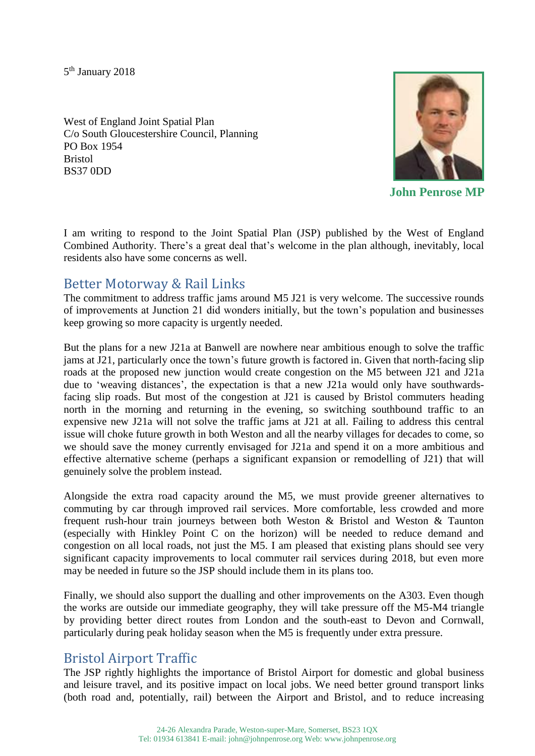5<sup>th</sup> January 2018

West of England Joint Spatial Plan C/o South Gloucestershire Council, Planning PO Box 1954 Bristol BS37 0DD



**John Penrose MP**

I am writing to respond to the Joint Spatial Plan (JSP) published by the West of England Combined Authority. There's a great deal that's welcome in the plan although, inevitably, local residents also have some concerns as well.

#### Better Motorway & Rail Links

The commitment to address traffic jams around M5 J21 is very welcome. The successive rounds of improvements at Junction 21 did wonders initially, but the town's population and businesses keep growing so more capacity is urgently needed.

But the plans for a new J21a at Banwell are nowhere near ambitious enough to solve the traffic jams at J21, particularly once the town's future growth is factored in. Given that north-facing slip roads at the proposed new junction would create congestion on the M5 between J21 and J21a due to 'weaving distances', the expectation is that a new J21a would only have southwardsfacing slip roads. But most of the congestion at J21 is caused by Bristol commuters heading north in the morning and returning in the evening, so switching southbound traffic to an expensive new J21a will not solve the traffic jams at J21 at all. Failing to address this central issue will choke future growth in both Weston and all the nearby villages for decades to come, so we should save the money currently envisaged for J21a and spend it on a more ambitious and effective alternative scheme (perhaps a significant expansion or remodelling of J21) that will genuinely solve the problem instead.

Alongside the extra road capacity around the M5, we must provide greener alternatives to commuting by car through improved rail services. More comfortable, less crowded and more frequent rush-hour train journeys between both Weston & Bristol and Weston & Taunton (especially with Hinkley Point C on the horizon) will be needed to reduce demand and congestion on all local roads, not just the M5. I am pleased that existing plans should see very significant capacity improvements to local commuter rail services during 2018, but even more may be needed in future so the JSP should include them in its plans too.

Finally, we should also support the dualling and other improvements on the A303. Even though the works are outside our immediate geography, they will take pressure off the M5-M4 triangle by providing better direct routes from London and the south-east to Devon and Cornwall, particularly during peak holiday season when the M5 is frequently under extra pressure.

# Bristol Airport Traffic

The JSP rightly highlights the importance of Bristol Airport for domestic and global business and leisure travel, and its positive impact on local jobs. We need better ground transport links (both road and, potentially, rail) between the Airport and Bristol, and to reduce increasing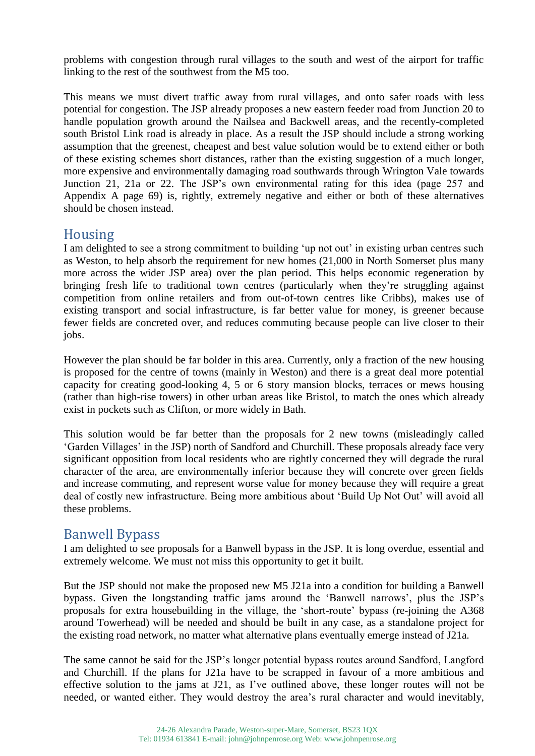problems with congestion through rural villages to the south and west of the airport for traffic linking to the rest of the southwest from the M5 too.

This means we must divert traffic away from rural villages, and onto safer roads with less potential for congestion. The JSP already proposes a new eastern feeder road from Junction 20 to handle population growth around the Nailsea and Backwell areas, and the recently-completed south Bristol Link road is already in place. As a result the JSP should include a strong working assumption that the greenest, cheapest and best value solution would be to extend either or both of these existing schemes short distances, rather than the existing suggestion of a much longer, more expensive and environmentally damaging road southwards through Wrington Vale towards Junction 21, 21a or 22. The JSP's own environmental rating for this idea (page 257 and Appendix A page 69) is, rightly, extremely negative and either or both of these alternatives should be chosen instead.

### Housing

I am delighted to see a strong commitment to building 'up not out' in existing urban centres such as Weston, to help absorb the requirement for new homes (21,000 in North Somerset plus many more across the wider JSP area) over the plan period. This helps economic regeneration by bringing fresh life to traditional town centres (particularly when they're struggling against competition from online retailers and from out-of-town centres like Cribbs), makes use of existing transport and social infrastructure, is far better value for money, is greener because fewer fields are concreted over, and reduces commuting because people can live closer to their jobs.

However the plan should be far bolder in this area. Currently, only a fraction of the new housing is proposed for the centre of towns (mainly in Weston) and there is a great deal more potential capacity for creating good-looking 4, 5 or 6 story mansion blocks, terraces or mews housing (rather than high-rise towers) in other urban areas like Bristol, to match the ones which already exist in pockets such as Clifton, or more widely in Bath.

This solution would be far better than the proposals for 2 new towns (misleadingly called 'Garden Villages' in the JSP) north of Sandford and Churchill. These proposals already face very significant opposition from local residents who are rightly concerned they will degrade the rural character of the area, are environmentally inferior because they will concrete over green fields and increase commuting, and represent worse value for money because they will require a great deal of costly new infrastructure. Being more ambitious about 'Build Up Not Out' will avoid all these problems.

## Banwell Bypass

I am delighted to see proposals for a Banwell bypass in the JSP. It is long overdue, essential and extremely welcome. We must not miss this opportunity to get it built.

But the JSP should not make the proposed new M5 J21a into a condition for building a Banwell bypass. Given the longstanding traffic jams around the 'Banwell narrows', plus the JSP's proposals for extra housebuilding in the village, the 'short-route' bypass (re-joining the A368 around Towerhead) will be needed and should be built in any case, as a standalone project for the existing road network, no matter what alternative plans eventually emerge instead of J21a.

The same cannot be said for the JSP's longer potential bypass routes around Sandford, Langford and Churchill. If the plans for J21a have to be scrapped in favour of a more ambitious and effective solution to the jams at J21, as I've outlined above, these longer routes will not be needed, or wanted either. They would destroy the area's rural character and would inevitably,